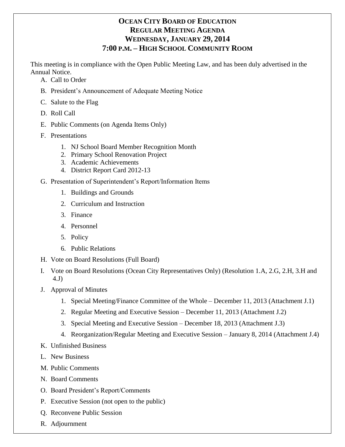# **OCEAN CITY BOARD OF EDUCATION REGULAR MEETING AGENDA WEDNESDAY, JANUARY 29, 2014 7:00 P.M. – HIGH SCHOOL COMMUNITY ROOM**

This meeting is in compliance with the Open Public Meeting Law, and has been duly advertised in the Annual Notice.

- A. Call to Order
- B. President's Announcement of Adequate Meeting Notice
- C. Salute to the Flag
- D. Roll Call
- E. Public Comments (on Agenda Items Only)
- F. Presentations
	- 1. NJ School Board Member Recognition Month
	- 2. Primary School Renovation Project
	- 3. Academic Achievements
	- 4. District Report Card 2012-13
- G. Presentation of Superintendent's Report/Information Items
	- 1. Buildings and Grounds
	- 2. Curriculum and Instruction
	- 3. Finance
	- 4. Personnel
	- 5. Policy
	- 6. Public Relations
- H. Vote on Board Resolutions (Full Board)
- I. Vote on Board Resolutions (Ocean City Representatives Only) (Resolution 1.A, 2.G, 2.H, 3.H and 4.J)
- J. Approval of Minutes
	- 1. Special Meeting/Finance Committee of the Whole December 11, 2013 (Attachment J.1)
	- 2. Regular Meeting and Executive Session December 11, 2013 (Attachment J.2)
	- 3. Special Meeting and Executive Session December 18, 2013 (Attachment J.3)
	- 4. Reorganization/Regular Meeting and Executive Session January 8, 2014 (Attachment J.4)
- K. Unfinished Business
- L. New Business
- M. Public Comments
- N. Board Comments
- O. Board President's Report/Comments
- P. Executive Session (not open to the public)
- Q. Reconvene Public Session
- R. Adjournment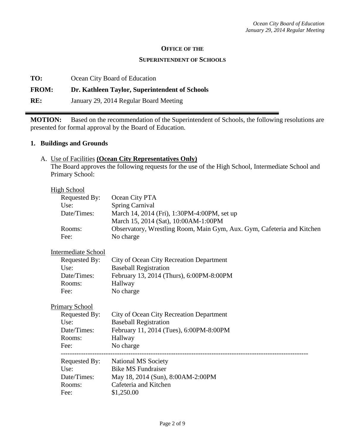#### **OFFICE OF THE**

#### **SUPERINTENDENT OF SCHOOLS**

**TO:** Ocean City Board of Education

### **FROM: Dr. Kathleen Taylor, Superintendent of Schools**

**RE:** January 29, 2014 Regular Board Meeting

**MOTION:** Based on the recommendation of the Superintendent of Schools, the following resolutions are presented for formal approval by the Board of Education.

#### **1. Buildings and Grounds**

### A. Use of Facilities **(Ocean City Representatives Only)**

The Board approves the following requests for the use of the High School, Intermediate School and Primary School:

#### High School

| Requested By: | Ocean City PTA                                                         |
|---------------|------------------------------------------------------------------------|
| Use:          | <b>Spring Carnival</b>                                                 |
| Date/Times:   | March 14, 2014 (Fri), 1:30PM-4:00PM, set up                            |
|               | March 15, 2014 (Sat), 10:00AM-1:00PM                                   |
| Rooms:        | Observatory, Wrestling Room, Main Gym, Aux. Gym, Cafeteria and Kitchen |
| Fee:          | No charge                                                              |

### Intermediate School

| Requested By: | City of Ocean City Recreation Department |
|---------------|------------------------------------------|
| Use:          | <b>Baseball Registration</b>             |
| Date/Times:   | February 13, 2014 (Thurs), 6:00PM-8:00PM |
| Rooms:        | Hallway                                  |
| Fee:          | No charge                                |

#### Primary School

| Requested By: | City of Ocean City Recreation Department |
|---------------|------------------------------------------|
| Use:          | <b>Baseball Registration</b>             |
| Date/Times:   | February 11, 2014 (Tues), 6:00PM-8:00PM  |
| Rooms:        | Hallway                                  |
| Fee:          | No charge                                |
| Requested By: | <b>National MS Society</b>               |
| Use:          | <b>Bike MS Fundraiser</b>                |
| Date/Times:   | May 18, 2014 (Sun), 8:00AM-2:00PM        |
| Rooms:        | Cafeteria and Kitchen                    |
|               |                                          |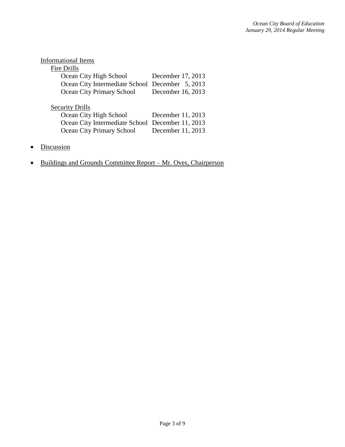| <b>Informational Items</b>                       |                   |
|--------------------------------------------------|-------------------|
| <b>Fire Drills</b>                               |                   |
| Ocean City High School                           | December 17, 2013 |
| Ocean City Intermediate School December 5, 2013  |                   |
| Ocean City Primary School                        | December 16, 2013 |
|                                                  |                   |
| <b>Security Drills</b>                           |                   |
| Ocean City High School                           | December 11, 2013 |
| Ocean City Intermediate School December 11, 2013 |                   |
| Ocean City Primary School                        | December 11, 2013 |
|                                                  |                   |

- Discussion
- Buildings and Grounds Committee Report Mr. Oves, Chairperson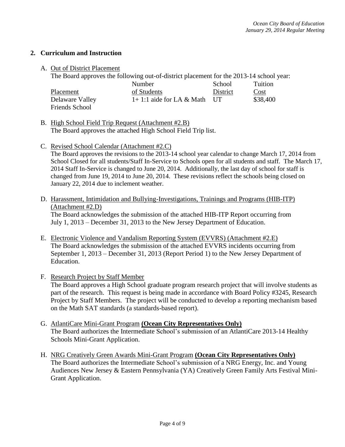# **2. Curriculum and Instruction**

#### A. Out of District Placement

The Board approves the following out-of-district placement for the 2013-14 school year:

|                 | Number                        | School   | Tuition  |
|-----------------|-------------------------------|----------|----------|
| Placement       | of Students                   | District | Cost     |
| Delaware Valley | $1+1:1$ aide for LA & Math UT |          | \$38,400 |
| Friends School  |                               |          |          |

B. High School Field Trip Request (Attachment #2.B) The Board approves the attached High School Field Trip list.

C. Revised School Calendar (Attachment #2.C)

The Board approves the revisions to the 2013-14 school year calendar to change March 17, 2014 from School Closed for all students/Staff In-Service to Schools open for all students and staff. The March 17, 2014 Staff In-Service is changed to June 20, 2014. Additionally, the last day of school for staff is changed from June 19, 2014 to June 20, 2014. These revisions reflect the schools being closed on January 22, 2014 due to inclement weather.

D. Harassment, Intimidation and Bullying-Investigations, Trainings and Programs (HIB-ITP) (Attachment #2.D) The Board acknowledges the submission of the attached HIB-ITP Report occurring from

July 1, 2013 – December 31, 2013 to the New Jersey Department of Education.

- E. Electronic Violence and Vandalism Reporting System (EVVRS) (Attachment #2.E) The Board acknowledges the submission of the attached EVVRS incidents occurring from September 1, 2013 – December 31, 2013 (Report Period 1) to the New Jersey Department of Education.
- F. Research Project by Staff Member The Board approves a High School graduate program research project that will involve students as part of the research. This request is being made in accordance with Board Policy #3245, Research Project by Staff Members. The project will be conducted to develop a reporting mechanism based on the Math SAT standards (a standards-based report).
- G. AtlantiCare Mini-Grant Program **(Ocean City Representatives Only)**  The Board authorizes the Intermediate School's submission of an AtlantiCare 2013-14 Healthy Schools Mini-Grant Application.
- H. NRG Creatively Green Awards Mini-Grant Program **(Ocean City Representatives Only)**  The Board authorizes the Intermediate School's submission of a NRG Energy, Inc. and Young Audiences New Jersey & Eastern Pennsylvania (YA) Creatively Green Family Arts Festival Mini-Grant Application.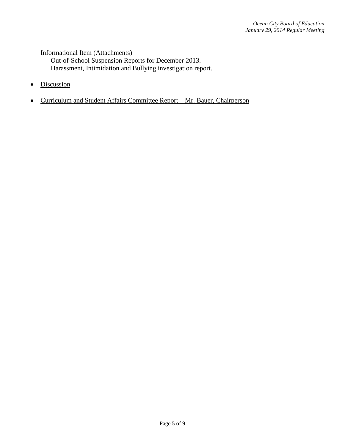### Informational Item (Attachments)

Out-of-School Suspension Reports for December 2013. Harassment, Intimidation and Bullying investigation report.

- Discussion
- Curriculum and Student Affairs Committee Report Mr. Bauer, Chairperson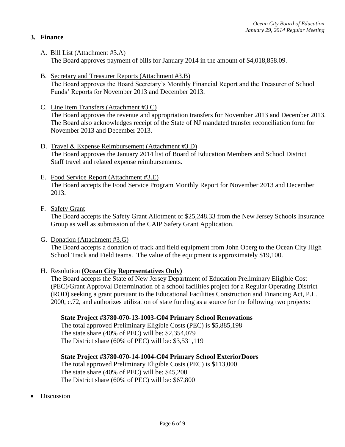# **3. Finance**

- A. Bill List (Attachment #3.A) The Board approves payment of bills for January 2014 in the amount of \$4,018,858.09.
- B. Secretary and Treasurer Reports (Attachment #3.B) The Board approves the Board Secretary's Monthly Financial Report and the Treasurer of School Funds' Reports for November 2013 and December 2013.
- C. Line Item Transfers (Attachment #3.C) The Board approves the revenue and appropriation transfers for November 2013 and December 2013. The Board also acknowledges receipt of the State of NJ mandated transfer reconciliation form for November 2013 and December 2013.
- D. Travel & Expense Reimbursement (Attachment #3.D) The Board approves the January 2014 list of Board of Education Members and School District Staff travel and related expense reimbursements.
- E. Food Service Report (Attachment #3.E) The Board accepts the Food Service Program Monthly Report for November 2013 and December 2013.
- F. Safety Grant

The Board accepts the Safety Grant Allotment of \$25,248.33 from the New Jersey Schools Insurance Group as well as submission of the CAIP Safety Grant Application.

G. Donation (Attachment #3.G)

The Board accepts a donation of track and field equipment from John Oberg to the Ocean City High School Track and Field teams. The value of the equipment is approximately \$19,100.

H. Resolution **(Ocean City Representatives Only)**

The Board accepts the State of New Jersey Department of Education Preliminary Eligible Cost (PEC)/Grant Approval Determination of a school facilities project for a Regular Operating District (ROD) seeking a grant pursuant to the Educational Facilities Construction and Financing Act, P.L. 2000, c.72, and authorizes utilization of state funding as a source for the following two projects:

### **State Project #3780-070-13-1003-G04 Primary School Renovations**

The total approved Preliminary Eligible Costs (PEC) is \$5,885,198 The state share (40% of PEC) will be: \$2,354,079 The District share (60% of PEC) will be: \$3,531,119

# **State Project #3780-070-14-1004-G04 Primary School ExteriorDoors**

The total approved Preliminary Eligible Costs (PEC) is \$113,000 The state share (40% of PEC) will be: \$45,200 The District share (60% of PEC) will be: \$67,800

Discussion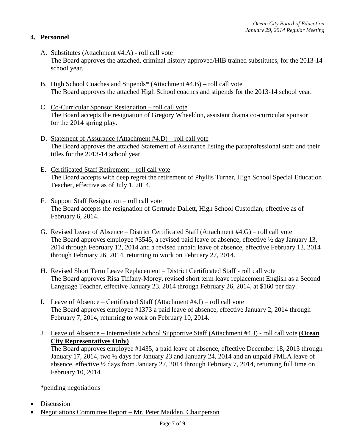# **4. Personnel**

- A. Substitutes (Attachment #4.A) roll call vote The Board approves the attached, criminal history approved/HIB trained substitutes, for the 2013-14 school year.
- B. High School Coaches and Stipends\* (Attachment #4.B) roll call vote The Board approves the attached High School coaches and stipends for the 2013-14 school year.
- C. Co-Curricular Sponsor Resignation roll call vote The Board accepts the resignation of Gregory Wheeldon, assistant drama co-curricular sponsor for the 2014 spring play.
- D. Statement of Assurance (Attachment #4.D) roll call vote The Board approves the attached Statement of Assurance listing the paraprofessional staff and their titles for the 2013-14 school year.
- E. Certificated Staff Retirement roll call vote The Board accepts with deep regret the retirement of Phyllis Turner, High School Special Education Teacher, effective as of July 1, 2014.
- F. Support Staff Resignation roll call vote The Board accepts the resignation of Gertrude Dallett, High School Custodian, effective as of February 6, 2014.
- G. Revised Leave of Absence District Certificated Staff (Attachment #4.G) roll call vote The Board approves employee #3545, a revised paid leave of absence, effective  $\frac{1}{2}$  day January 13, 2014 through February 12, 2014 and a revised unpaid leave of absence, effective February 13, 2014 through February 26, 2014, returning to work on February 27, 2014.
- H. Revised Short Term Leave Replacement District Certificated Staff roll call vote The Board approves Risa Tiffany-Morey, revised short term leave replacement English as a Second Language Teacher, effective January 23, 2014 through February 26, 2014, at \$160 per day.
- I. Leave of Absence Certificated Staff (Attachment #4.I) roll call vote The Board approves employee #1373 a paid leave of absence, effective January 2, 2014 through February 7, 2014, returning to work on February 10, 2014.
- J. Leave of Absence Intermediate School Supportive Staff (Attachment #4.J) roll call vote **(Ocean City Representatives Only)**

The Board approves employee #1435, a paid leave of absence, effective December 18, 2013 through January 17, 2014, two ½ days for January 23 and January 24, 2014 and an unpaid FMLA leave of absence, effective ½ days from January 27, 2014 through February 7, 2014, returning full time on February 10, 2014.

\*pending negotiations

- Discussion
- Negotiations Committee Report Mr. Peter Madden, Chairperson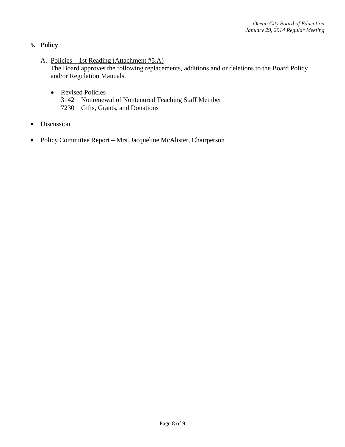# **5. Policy**

- A. Policies 1st Reading (Attachment #5.A) The Board approves the following replacements, additions and or deletions to the Board Policy and/or Regulation Manuals.
	- Revised Policies
		- 3142 Nonrenewal of Nontenured Teaching Staff Member
		- 7230 Gifts, Grants, and Donations
- Discussion
- Policy Committee Report Mrs. Jacqueline McAlister, Chairperson